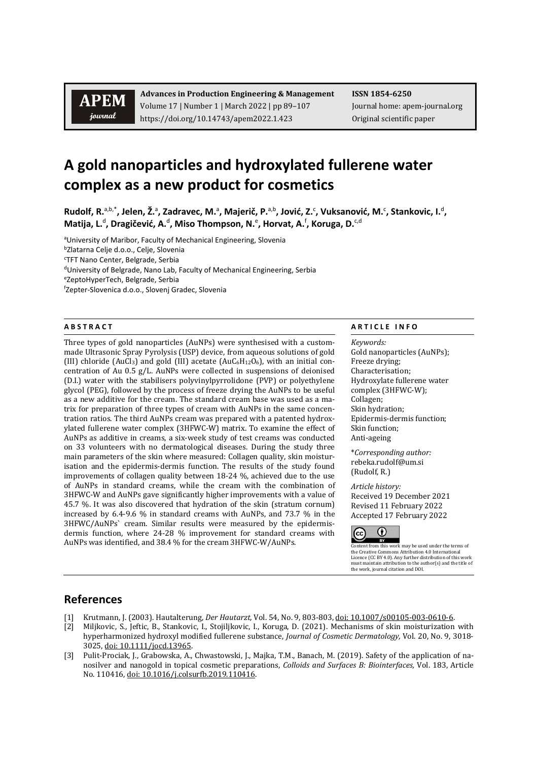## **APEM** journal

**Advances in Production Engineering & Management ISSN 1854-6250** Volume 17 | Number 1 | March 2022 | pp 89–107 Journal home: apem-journal.org https://doi.org/10.14743/apem2022.1.423 Original scientific paper

# **A gold nanoparticles and hydroxylated fullerene water complex as a new product for cosmetics**

Rudolf, R.<sup>a,b,\*</sup>, Jelen, Ž.<sup>a</sup>, Zadravec, M.<sup>a</sup>, Majerič, P.<sup>a,b</sup>, Jović, Z.<sup>c</sup>, Vuksanović, M.<sup>c</sup>, Stankovic, I.<sup>d</sup>, **Matija, L.**<sup>d</sup> **, Dragičević, A.**<sup>d</sup> **, Miso Thompson, N.**<sup>e</sup> **, Horvat, A.**<sup>f</sup> **, Koruga, D.**c,d

aUniversity of Maribor, Faculty of Mechanical Engineering, Slovenia

<sup>b</sup>Zlatarna Celje d.o.o., Celje, Slovenia

c TFT Nano Center, Belgrade, Serbia

dUniversity of Belgrade, Nano Lab, Faculty of Mechanical Engineering, Serbia

eZeptoHyperTech, Belgrade, Serbia

f Zepter-Slovenica d.o.o., Slovenj Gradec, Slovenia

Three types of gold nanoparticles (AuNPs) were synthesised with a custommade Ultrasonic Spray Pyrolysis (USP) device, from aqueous solutions of gold (III) chloride (AuCl<sub>3</sub>) and gold (III) acetate (AuC<sub>6</sub>H<sub>12</sub>O<sub>6</sub>), with an initial concentration of Au 0.5 g/L. AuNPs were collected in suspensions of deionised (D.I.) water with the stabilisers polyvinylpyrrolidone (PVP) or polyethylene glycol (PEG), followed by the process of freeze drying the AuNPs to be useful as a new additive for the cream. The standard cream base was used as a matrix for preparation of three types of cream with AuNPs in the same concentration ratios. The third AuNPs cream was prepared with a patented hydroxylated fullerene water complex (3HFWC-W) matrix. To examine the effect of AuNPs as additive in creams, a six-week study of test creams was conducted on 33 volunteers with no dermatological diseases. During the study three main parameters of the skin where measured: Collagen quality, skin moisturisation and the epidermis-dermis function. The results of the study found improvements of collagen quality between 18-24 %, achieved due to the use of AuNPs in standard creams, while the cream with the combination of 3HFWC-W and AuNPs gave significantly higher improvements with a value of 45.7 %. It was also discovered that hydration of the skin (stratum cornum) increased by 6.4-9.6 % in standard creams with AuNPs, and 73.7 % in the 3HFWC/AuNPs` cream. Similar results were measured by the epidermisdermis function, where 24-28 % improvement for standard creams with AuNPs was identified, and 38.4 % for the cream 3HFWC-W/AuNPs.

### **A B S T R A C T A R T I C L E I N F O**

*Keywords:* Gold nanoparticles (AuNPs); Freeze drying; Characterisation; Hydroxylate fullerene water complex (3HFWC-W); Collagen; Skin hydration; Epidermis-dermis function; Skin function; Anti-ageing

\**Corresponding author:*  [rebeka.rudolf@um.si](mailto:rebeka.rudolf@um.si) (Rudolf, R.)

*Article history:*  Received 19 December 2021 Revised 11 February 2022 Accepted 17 February 2022



Content from this work may be used under the terms of the Creative Commons Attribution 4.0 International Licence (CC BY 4.0). Any further distribution of this work must maintain attribution to the author(s) and the title of the work, journal citation and DOI.

## **References**

- [1] Krutmann, J. (2003). Hautalterung, *Der Hautarzt,* Vol. 54, No. 9, 803-803[, doi: 10.1007/s00105-003-0610-6.](https://doi.org/10.1007/s00105-003-0610-6)
- [2] Miljkovic, S., Jeftic, B., Stankovic, I., Stojiljkovic, I., Koruga, D. (2021). Mechanisms of skin moisturization with hyperharmonized hydroxyl modified fullerene substance, *Journal of Cosmetic Dermatology,* Vol. 20, No. 9, 3018- 3025, [doi: 10.1111/jocd.13965.](https://doi.org/10.1111/jocd.13965)
- [3] Pulit-Prociak, J., Grabowska, A., Chwastowski, J., Majka, T.M., Banach, M. (2019). Safety of the application of nanosilver and nanogold in topical cosmetic preparations, *Colloids and Surfaces B: Biointerfaces,* Vol. 183, Article No. 110416, [doi: 10.1016/j.colsurfb.2019.110416.](https://doi.org/10.1016/j.colsurfb.2019.110416)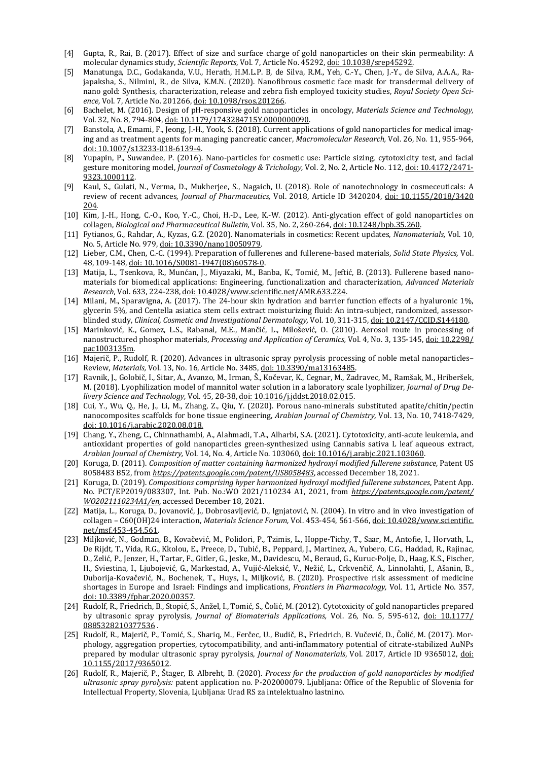- [4] Gupta, R., Rai, B. (2017). Effect of size and surface charge of gold nanoparticles on their skin permeability: A molecular dynamics study, *Scientific Reports*, Vol. 7, Article No. 45292[, doi: 10.1038/srep45292.](https://doi.org/10.1038/srep45292)
- [5] Manatunga, D.C., Godakanda, V.U., Herath, H.M.L.P. B, de Silva, R.M., Yeh, C.-Y., Chen, J.-Y., de Silva, A.A.A., Rajapaksha, S., Nilmini, R., de Silva, K.M.N. (2020). Nanofibrous cosmetic face mask for transdermal delivery of nano gold: Synthesis, characterization, release and zebra fish employed toxicity studies, *Royal Society Open Science,* Vol. 7, Article No. 201266[, doi: 10.1098/rsos.201266.](https://doi.org/10.1098/rsos.201266)
- [6] Bachelet, M. (2016). Design of pH-responsive gold nanoparticles in oncology, *Materials Science and Technology,* Vol. 32, No. 8, 794-804[, doi: 10.1179/1743284715Y.0000000090.](https://doi.org/10.1179/1743284715Y.0000000090)
- [7] Banstola, A., Emami, F., Jeong, J.-H., Yook, S. (2018). Current applications of gold nanoparticles for medical imaging and as treatment agents for managing pancreatic cancer, *Macromolecular Research,* Vol. 26, No. 11, 955-964, [doi: 10.1007/s13233-018-6139-4.](https://doi.org/10.1007/s13233-018-6139-4)
- [8] Yupapin, P., Suwandee, P. (2016). Nano-particles for cosmetic use: Particle sizing, cytotoxicity test, and facial gesture monitoring model, *Journal of Cosmetology & Trichology,* Vol. 2, No. 2, Article No. 112[, doi: 10.4172/2471-](https://doi.org/10.4172/2471-9323.1000112) [9323.1000112.](https://doi.org/10.4172/2471-9323.1000112)
- [9] Kaul, S., Gulati, N., Verma, D., Mukherjee, S., Nagaich, U. (2018). Role of nanotechnology in cosmeceuticals: A review of recent advances, *Journal of Pharmaceutics,* Vol. 2018, Article ID 3420204, [doi: 10.1155/2018/3420](https://doi.org/10.1155/2018/3420204) [204.](https://doi.org/10.1155/2018/3420204)
- [10] Kim, J.-H., Hong, C.-O., Koo, Y.-C., Choi, H.-D., Lee, K.-W. (2012). Anti-glycation effect of gold nanoparticles on collagen, *Biological and Pharmaceutical Bulletin,* Vol. 35, No. 2, 260-264, [doi: 10.1248/bpb.35.260.](https://doi.org/10.1248/bpb.35.260)
- [11] Fytianos, G., Rahdar, A., Kyzas, G.Z. (2020). Nanomaterials in cosmetics: Recent updates, *Nanomaterials,* Vol. 10, No. 5, Article No. 979, [doi: 10.3390/nano10050979.](https://doi.org/10.3390/nano10050979)
- [12] Lieber, C.M., Chen, C.-C. (1994). Preparation of fullerenes and fullerene-based materials, *Solid State Physics,* Vol. 48, 109-148[, doi: 10.1016/S0081-1947\(08\)60578-0.](https://doi.org/10.1016/S0081-1947(08)60578-0)
- [13] Matija, L., Tsenkova, R., Munćan, J., Miyazaki, M., Banba, K., Tomić, M., Jeftić, B. (2013). Fullerene based nanomaterials for biomedical applications: Engineering, functionalization and characterization, *Advanced Materials Research,* Vol. 633, 224-238[, doi: 10.4028/www.scientific.net/AMR.633.224.](https://doi.org/10.4028/www.scientific.net/AMR.633.224)
- [14] Milani, M., Sparavigna, A. (2017). The 24-hour skin hydration and barrier function effects of a hyaluronic 1%, glycerin 5%, and Centella asiatica stem cells extract moisturizing fluid: An intra-subject, randomized, assessorblinded study, *Clinical, Cosmetic and Investigational Dermatology,* Vol. 10, 311-315[, doi: 10.2147/CCID.S144180.](https://doi.org/10.2147/CCID.S144180)
- [15] Marinković, K., Gomez, L.S., Rabanal, M.E., Mančić, L., Milošević, O. (2010). Aerosol route in processing of nanostructured phosphor materials, *Processing and Application of Ceramics,* Vol. 4, No. 3, 135-145[, doi: 10.2298/](https://doi.org/10.2298/pac1003135m) [pac1003135m.](https://doi.org/10.2298/pac1003135m)
- [16] Majerič, P., Rudolf, R. (2020). Advances in ultrasonic spray pyrolysis processing of noble metal nanoparticles– Review, *Materials,* Vol. 13, No. 16, Article No. 3485, [doi: 10.3390/ma13163485.](https://doi.org/10.3390/ma13163485)
- [17] Ravnik, J., Golobič, I., Sitar, A., Avanzo, M., Irman, Š., Kočevar, K., Cegnar, M., Zadravec, M., Ramšak, M., Hriberšek, M. (2018). Lyophilization model of mannitol water solution in a laboratory scale lyophilizer, *Journal of Drug Delivery Science and Technology,* Vol. 45, 28-38, [doi: 10.1016/j.jddst.2018.02.015.](https://doi.org/10.1016/j.jddst.2018.02.015)
- [18] Cui, Y., Wu, Q., He, J., Li, M., Zhang, Z., Qiu, Y. (2020). Porous nano-minerals substituted apatite/chitin/pectin nanocomposites scaffolds for bone tissue engineering, *Arabian Journal of Chemistry,* Vol. 13, No. 10, 7418-7429, [doi: 10.1016/j.arabjc.2020.08.018.](https://doi.org/10.1016/j.arabjc.2020.08.018)
- [19] Chang, Y., Zheng, C., Chinnathambi, A., Alahmadi, T.A., Alharbi, S.A. (2021). Cytotoxicity, anti-acute leukemia, and antioxidant properties of gold nanoparticles green-synthesized using Cannabis sativa L leaf aqueous extract, *Arabian Journal of Chemistry,* Vol. 14, No. 4, Article No. 103060, [doi: 10.1016/j.arabjc.2021.103060.](https://doi.org/10.1016/j.arabjc.2021.103060)
- [20] Koruga, D. (2011). *Composition of matter containing harmonized hydroxyl modified fullerene substance,* Patent US 8058483 B52, from *<https://patents.google.com/patent/US8058483>*, accessed December 18, 2021.
- [21] Koruga, D. (2019). *Compositions comprising hyper harmonized hydroxyl modified fullerene substances*, Patent App. No. PCT/EP2019/083307, Int. Pub. No.:WO 2021/110234 A1, 2021, from *[https://patents.google.com/patent/](https://patents.google.com/patent/%20WO2021110234A1/en)  [WO2021110234A1/en](https://patents.google.com/patent/%20WO2021110234A1/en)*, accessed December 18, 2021.
- [22] Matija, L., Koruga, D., Jovanović, J., Dobrosavljević, D., Ignjatović, N. (2004). In vitro and in vivo investigation of collagen – C60(OH)24 interaction, *Materials Science Forum,* Vol. 453-454, 561-566[, doi: 10.4028/www.scientific.](https://doi.org/10.4028/www.scientific.net/msf.453-454.561) [net/msf.453-454.561.](https://doi.org/10.4028/www.scientific.net/msf.453-454.561)
- [23] Miljković, N., Godman, B., Kovačević, M., Polidori, P., Tzimis, L., Hoppe-Tichy, T., Saar, M., Antofie, I., Horvath, L., De Rijdt, T., Vida, R.G., Kkolou, E., Preece, D., Tubić, B., Peppard, J., Martinez, A., Yubero, C.G., Haddad, R., Rajinac, D., Zelić, P., Jenzer, H., Tartar, F., Gitler, G., Jeske, M., Davidescu, M., Beraud, G., Kuruc-Polje, D., Haag, K.S., Fischer, H., Sviestina, I., Ljubojević, G., Markestad, A., Vujić-Aleksić, V., Nežić, L., Crkvenčič, A., Linnolahti, J., Ašanin, B., Duborija-Kovačević, N., Bochenek, T., Huys, I., Miljković, B. (2020). Prospective risk assessment of medicine shortages in Europe and Israel: Findings and implications, *Frontiers in Pharmacology,* Vol. 11, Article No. 357, [doi: 10.3389/fphar.2020.00357.](https://doi.org/10.3389/fphar.2020.00357)
- [24] Rudolf, R., Friedrich, B., Stopić, S., Anžel, I., Tomić, S., Čolić, M. (2012). Cytotoxicity of gold nanoparticles prepared by ultrasonic spray pyrolysis, *Journal of Biomaterials Applications,* Vol. 26, No. 5, 595-612, [doi: 10.1177/](https://doi.org/10.1177/0885328210377536) [0885328210377536](https://doi.org/10.1177/0885328210377536) .
- [25] Rudolf, R., Majerič, P., Tomić, S., Shariq, M., Ferčec, U., Budič, B., Friedrich, B. Vučević, D., Čolić, M. (2017). Morphology, aggregation properties, cytocompatibility, and anti-inflammatory potential of citrate-stabilized AuNPs prepared by modular ultrasonic spray pyrolysis, *Journal of Nanomaterials*, Vol. 2017, Article ID 9365012, [doi:](https://www.hindawi.com/journals/jnm/2017/9365012/)  [10.1155/2017/9365012.](https://www.hindawi.com/journals/jnm/2017/9365012/)
- [26] Rudolf, R., Majerič, P., Štager, B. Albreht, B. (2020). *Process for the production of gold nanoparticles by modified ultrasonic spray pyrolysis:* patent application no. P-202000079. Ljubljana: Office of the Republic of Slovenia for Intellectual Property, Slovenia, Ljubljana: Urad RS za intelektualno lastnino.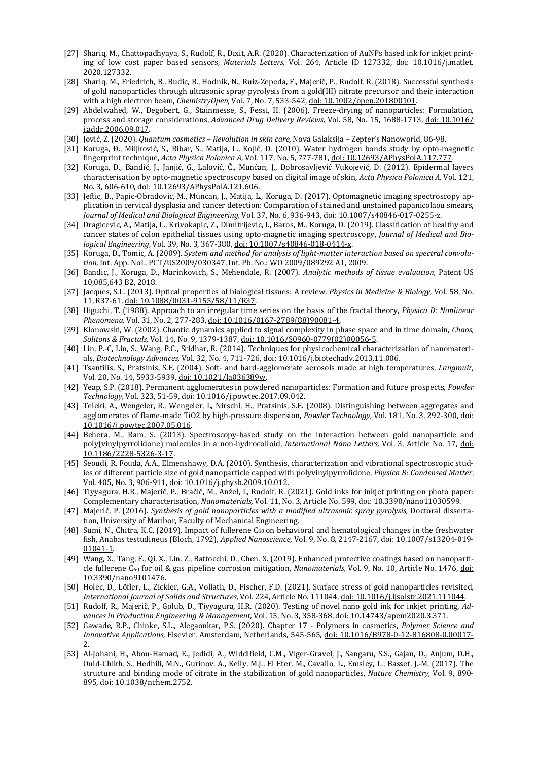- [27] Shariq, M., Chattopadhyaya, S., Rudolf, R., Dixit, A.R. (2020). Characterization of AuNPs based ink for inkjet printing of low cost paper based sensors, *Materials Letters,* Vol. 264, Article ID 127332, [doi: 10.1016/j.matlet.](https://doi.org/10.1016/j.matlet.2020.127332) [2020.127332.](https://doi.org/10.1016/j.matlet.2020.127332)
- [28] Shariq, M., Friedrich, B., Budic, B., Hodnik, N., Ruiz-Zepeda, F., Majerič, P., Rudolf, R. (2018). Successful synthesis of gold nanoparticles through ultrasonic spray pyrolysis from a gold(III) nitrate precursor and their interaction with a high electron beam, *ChemistryOpen,* Vol. 7, No. 7, 533-542, [doi: 10.1002/open.201800101.](https://doi.org/10.1002/open.201800101)
- [29] Abdelwahed, W., Degobert, G., Stainmesse, S., Fessi, H. (2006). Freeze-drying of nanoparticles: Formulation, process and storage considerations, *Advanced Drug Delivery Reviews,* Vol. 58, No. 15, 1688-1713, [doi: 10.1016/](https://doi.org/10.1016/j.addr.2006.09.017) [j.addr.2006.09.017.](https://doi.org/10.1016/j.addr.2006.09.017)
- [30] Jović, Z. (2020). *Quantum cosmetics – Revolution in skin care,* Nova Galaksija Zepter's Nanoworld, 86-98.
- [31] Koruga, Ð., Miljković, S., Ribar, S., Matija, L., Kojić, D. (2010). Water hydrogen bonds study by opto-magnetic fingerprint technique, *Acta Physica Polonica A,* Vol. 117, No. 5, 777-781[, doi: 10.12693/APhysPolA.117.777.](https://doi.org/10.12693/APhysPolA.117.777)
- [32] Koruga, Ð., Bandić, J., Janjić, G., Lalović, Č., Munćan, J., Dobrosavljević Vukojević, D. (2012). Epidermal layers characterisation by opto-magnetic spectroscopy based on digital image of skin, *Acta Physica Polonica A,* Vol. 121, No. 3, 606-610[, doi: 10.12693/APhysPolA.121.606.](https://doi.org/10.12693/APhysPolA.121.606)
- [33] Jeftic, B., Papic-Obradovic, M., Muncan, J., Matija, L., Koruga, D. (2017). Optomagnetic imaging spectroscopy application in cervical dysplasia and cancer detection: Comparation of stained and unstained papanicolaou smears, *Journal of Medical and Biological Engineering,* Vol. 37, No. 6, 936-943[, doi: 10.1007/s40846-017-0255-z.](https://doi.org/10.1007/s40846-017-0255-z)
- [34] Dragicevic, A., Matija, L., Krivokapic, Z., Dimitrijevic, I., Baros, M., Koruga, D. (2019). Classification of healthy and cancer states of colon epithelial tissues using opto-magnetic imaging spectroscopy, *Journal of Medical and Biological Engineering*, Vol. 39, No. 3, 367-380[, doi: 10.1007/s40846-018-0414-x.](https://doi.org/10.1007/s40846-018-0414-x)
- [35] Koruga, D., Tomic, A. (2009). *System and method for analysis of light-matter interaction based on spectral convolution,* Int. App. NoL. PCT/US2009/030347, Int. Pb. No.: WO 2009/089292 A1, 2009.
- [36] Bandic, J., Koruga, D., Marinkovich, S., Mehendale, R. (2007). *Analytic methods of tissue evaluation,* Patent US 10,085,643 B2, 2018.
- [37] Jacques, S.L. (2013). Optical properties of biological tissues: A review, *Physics in Medicine & Biology,* Vol. 58, No. 11, R37-61[, doi: 10.1088/0031-9155/58/11/R37.](https://doi.org/10.1088/0031-9155/58/11/R37)
- [38] Higuchi, T. (1988). Approach to an irregular time series on the basis of the fractal theory, *Physica D: Nonlinear Phenomena,* Vol. 31, No. 2, 277-283[, doi: 10.1016/0167-2789\(88\)90081-4.](https://doi.org/10.1016/0167-2789(88)90081-4)
- [39] Klonowski, W. (2002). Chaotic dynamics applied to signal complexity in phase space and in time domain, *Chaos, Solitons & Fractals,* Vol. 14, No. 9, 1379-1387[, doi: 10.1016/S0960-0779\(02\)00056-5.](https://doi.org/10.1016/S0960-0779(02)00056-5)
- [40] Lin, P.-C, Lin, S., Wang, P.C., Sridhar, R. (2014). Techniques for physicochemical characterization of nanomaterials, *Biotechnology Advances,* Vol. 32, No. 4, 711-726[, doi: 10.1016/j.biotechadv.2013.11.006.](https://doi.org/10.1016/j.biotechadv.2013.11.006)
- [41] Tsantilis, S., Pratsinis, S.E. (2004). Soft- and hard-agglomerate aerosols made at high temperatures, *Langmuir,* Vol. 20, No. 14, 5933-5939[, doi: 10.1021/la036389w.](https://doi.org/10.1021/la036389w)
- [42] Yeap, S.P. (2018). Permanent agglomerates in powdered nanoparticles: Formation and future prospects, *Powder Technology,* Vol. 323, 51-59[, doi: 10.1016/j.powtec.2017.09.042.](https://doi.org/10.1016/j.powtec.2017.09.042)
- [43] Teleki, A., Wengeler, R., Wengeler, L, Nirschl, H., Pratsinis, S.E. (2008). Distinguishing between aggregates and agglomerates of flame-made TiO2 by high-pressure dispersion, *Powder Technology,* Vol. 181, No. 3, 292-300, [doi:](https://doi.org/10.1016/j.powtec.2007.05.016)  [10.1016/j.powtec.2007.05.016.](https://doi.org/10.1016/j.powtec.2007.05.016)
- [44] Behera, M., Ram, S. (2013). Spectroscopy-based study on the interaction between gold nanoparticle and poly(vinylpyrrolidone) molecules in a non-hydrocolloid, *International Nano Letters,* Vol. 3, Article No. 17, [doi:](https://doi.org/10.1186/2228-5326-3-17)  [10.1186/2228-5326-3-17.](https://doi.org/10.1186/2228-5326-3-17)
- [45] Seoudi, R. Fouda, A.A., Elmenshawy, D.A. (2010). Synthesis, characterization and vibrational spectroscopic studies of different particle size of gold nanoparticle capped with polyvinylpyrrolidone, *Physica B: Condensed Matter*, Vol. 405, No. 3, 906-911[, doi: 10.1016/j.physb.2009.10.012.](https://doi.org/10.1016/j.physb.2009.10.012)
- [46] Tiyyagura, H.R., Majerič, P., Bračič, M., Anžel, I., Rudolf, R. (2021). Gold inks for inkjet printing on photo paper: Complementary characterisation, *Nanomaterials,* Vol. 11, No. 3, Article No. 599[, doi: 10.3390/nano11030599.](https://doi.org/10.3390/nano11030599)
- [47] Majerič, P. (2016). *Synthesis of gold nanoparticles with a modified ultrasonic spray pyrolysis,* Doctoral dissertation, University of Maribor, Faculty of Mechanical Engineering.
- [48] Sumi, N., Chitra, K.C. (2019). Impact of fullerene C<sub>60</sub> on behavioral and hematological changes in the freshwater fish, Anabas testudineus (Bloch, 1792), *Applied Nanoscience,* Vol. 9, No. 8, 2147-2167, [doi: 10.1007/s13204-019-](https://doi.org/10.1007/s13204-019-01041-1) [01041-1.](https://doi.org/10.1007/s13204-019-01041-1)
- [49] Wang, X., Tang, F., Qi, X., Lin, Z., Battocchi, D., Chen, X. (2019). Enhanced protective coatings based on nanoparticle fullerene C60 for oil & gas pipeline corrosion mitigation, *Nanomaterials,* Vol. 9, No. 10, Article No. 1476, [doi:](https://doi.org/10.3390/nano9101476) [10.3390/nano9101476.](https://doi.org/10.3390/nano9101476)
- [50] Holec, D., Löfler, L., Zickler, G.A., Vollath, D., Fischer, F.D. (2021). Surface stress of gold nanoparticles revisited, *International Journal of Solids and Structures,* Vol. 224, Article No. 111044[, doi: 10.1016/j.ijsolstr.2021.111044.](https://doi.org/10.1016/j.ijsolstr.2021.111044)
- [51] Rudolf, R., Majerič, P., Golub, D., Tiyyagura, H.R. (2020). Testing of novel nano gold ink for inkjet printing, *Advances in Production Engineering & Management,* Vol. 15, No. 3, 358-368, [doi: 10.14743/apem2020.3.371.](https://doi.org/10.14743/apem2020.3.371)
- [52] Gawade, R.P., Chinke, S.L., Alegaonkar, P.S. (2020). Chapter 17 Polymers in cosmetics, *Polymer Science and Innovative Applications,* Elsevier, Amsterdam, Netherlands, 545-565, [doi: 10.1016/B978-0-12-816808-0.00017-](https://doi.org/10.1016/B978-0-12-816808-0.00017-2) [2.](https://doi.org/10.1016/B978-0-12-816808-0.00017-2)
- [53] Al-Johani, H., Abou-Hamad, E., Jedidi, A., Widdifield, C.M., Viger-Gravel, J., Sangaru, S.S., Gajan, D., Anjum, D.H., Ould-Chikh, S., Hedhili, M.N., Gurinov, A., Kelly, M.J., El Eter, M., Cavallo, L., Emsley, L., Basset, J.-M. (2017). The structure and binding mode of citrate in the stabilization of gold nanoparticles, *Nature Chemistry,* Vol. 9, 890- 895, [doi: 10.1038/nchem.2752.](https://doi.org/10.1038/nchem.2752)